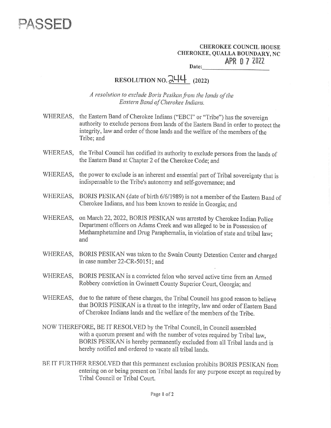

CHEROKEE COUNCIL HOUSE<br>CHEROKEE, QUALLA BOUNDARY, NC<br>APR 07 2022 Date: EROKEE<br>EE, QUALLA<br>APR

## RESOLUTION NO.  $244$  (2022)

A resolution to exclude Boris Pesikan from the lands of the Eastern Band of Cherokee Indians.

- WHEREAS, the Eastern Band of Cherokee Indians ("EBCI" or "Tribe") has the sovereign authority to exclude persons from lands of the Eastern Band in order to protect the integrity, law and order of those lands and the welfare of the members of the Tribe; and
- WHEREAS, the Tribal Council has codified its authority to exclude persons from the lands of the Eastern Band at Chapter 2 of the Cherokee Code; and
- WHEREAS, the power to exclude is an inherent and essential part of Tribal sovereignty that is indispensable to the Tribe's autonomy and self-governance; and
- WHEREAS, BORIS PESIKAN (date of birth 6/6/1989) is not a member of the Eastern Band of Cherokee Indians, and has been known to reside in Georgia; and
- WHEREAS, on March 22, 2022, BORIS PESIKAN was arrested by Cherokee Indian Police Department officers on Adams Creek and was alleged to be in Possession of Methamphetamine and Drug Paraphernalia, in violation of state and tribal law; and
- WHEREAS, BORIS PESIKAN was taken to the Swain County Detention Center and charged in case number 22-CR-50151; and
- WHEREAS, BORIS PESIKAN is a convicted felon who served active time from an Armed Robbery conviction in Gwinnett County Superior Court, Georgia: and
- WHEREAS, due to the nature of these charges, the Tribal Council has good reason to believe that BORIS PESIKAN is a threat to the integrity, law and order of Eastern Band<br>of Cherokee Indians lands and the welfare of the members of the Tribe.
- NOW THEREFORE, BE IT RESOLVED by the Tribal Council, in Council assembled with a quorum present and with the number of votes required by Tribal law, BORIS PESIKAN is hereby permanently excluded from all Tribal lands and is hereby notified and ordered to vacate all tribal lands.
- BE IT FURTHER RESOLVED that this permanent exclusion prohibits BORIS PESIKAN from<br>entering on or being present on Tribal lands for any purpose except as required by<br>Tribal Council or Tribal Court.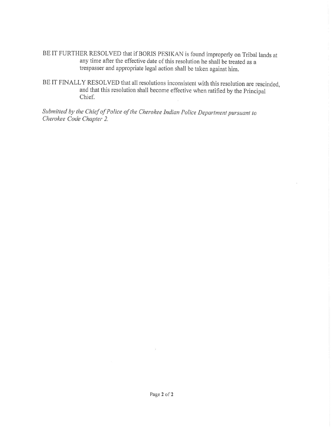BE IT FURTHER RESOLVED that if BORIS PESIKAN is found improperly on Tribal lands at any time after the effective date of this resolution he shall be treated as a trespasser and appropriate legal action shall be taken again

BE IT FINALLY RESOLVED that all resolutions inconsistent with this resolution are rescinded and that this resolution shall become effective when ratified by the Principal Chief. 2

Submitted by the Chief of Police of the Cherokee Indian Police Department pursuant to Cherokee Code Chapter 2.

 $\tilde{\mathbf{3}}$